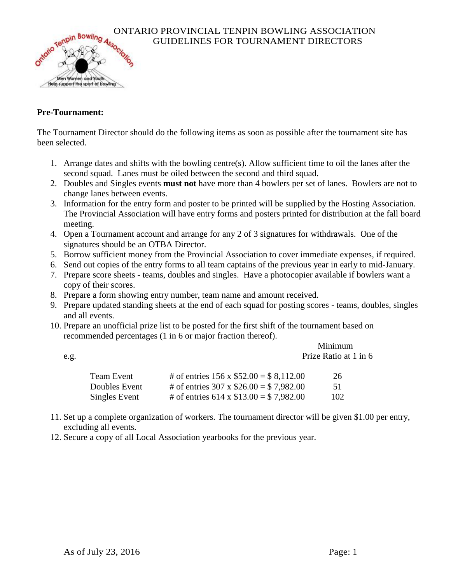

## ONTARIO PROVINCIAL TENPIN BOWLING ASSOCIATION<br>GUIDELINES FOR TOURNAMENT DIRECTORS<br>ONO ONLY THE CONSTITUTE OF THE CONSTITUTE OF THE CONSTITUTE OF THE CONSTITUTE OF THE CONSTITUTE OF THE CONSTITUTE OF THE CONSTITUTION OF THE GUIDELINES FOR TOURNAMENT DIRECTORS

#### **Pre-Tournament:**

The Tournament Director should do the following items as soon as possible after the tournament site has been selected.

- 1. Arrange dates and shifts with the bowling centre(s). Allow sufficient time to oil the lanes after the second squad. Lanes must be oiled between the second and third squad.
- 2. Doubles and Singles events **must not** have more than 4 bowlers per set of lanes. Bowlers are not to change lanes between events.
- 3. Information for the entry form and poster to be printed will be supplied by the Hosting Association. The Provincial Association will have entry forms and posters printed for distribution at the fall board meeting.
- 4. Open a Tournament account and arrange for any 2 of 3 signatures for withdrawals. One of the signatures should be an OTBA Director.
- 5. Borrow sufficient money from the Provincial Association to cover immediate expenses, if required.
- 6. Send out copies of the entry forms to all team captains of the previous year in early to mid-January.
- 7. Prepare score sheets teams, doubles and singles. Have a photocopier available if bowlers want a copy of their scores.
- 8. Prepare a form showing entry number, team name and amount received.
- 9. Prepare updated standing sheets at the end of each squad for posting scores teams, doubles, singles and all events.
- 10. Prepare an unofficial prize list to be posted for the first shift of the tournament based on recommended percentages (1 in 6 or major fraction thereof).

|      |               |                                              | Minimum |  |
|------|---------------|----------------------------------------------|---------|--|
| e.g. |               | Prize Ratio at 1 in 6                        |         |  |
|      |               |                                              |         |  |
|      | Team Event    | # of entries $156 \times $52.00 = $8,112.00$ | 26      |  |
|      | Doubles Event | # of entries $307 \times $26.00 = $7,982.00$ | 51      |  |
|      | Singles Event | # of entries $614 \times $13.00 = $7,982.00$ | 102     |  |

- 11. Set up a complete organization of workers. The tournament director will be given \$1.00 per entry, excluding all events.
- 12. Secure a copy of all Local Association yearbooks for the previous year.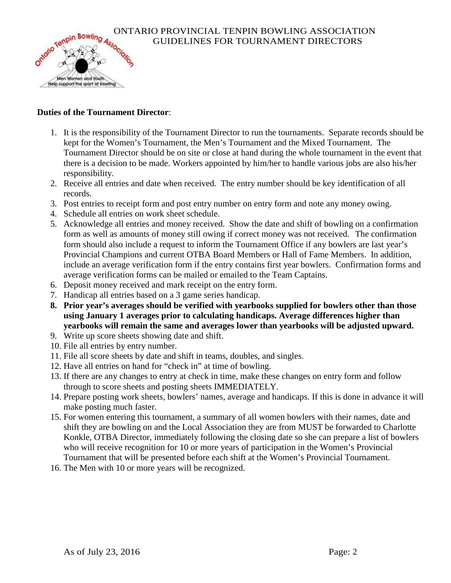

# ONTARIO PROVINCIAL TENPIN BOWLING ASSOCIATION<br>GUIDELINES FOR TOURNAMENT DIRECTORS<br>MORE AND ASSOCIATION GUIDELINES FOR TOURNAMENT DIRECTORS

#### **Duties of the Tournament Director**:

- 1. It is the responsibility of the Tournament Director to run the tournaments. Separate records should be kept for the Women's Tournament, the Men's Tournament and the Mixed Tournament. The Tournament Director should be on site or close at hand during the whole tournament in the event that there is a decision to be made. Workers appointed by him/her to handle various jobs are also his/her responsibility.
- 2. Receive all entries and date when received. The entry number should be key identification of all records.
- 3. Post entries to receipt form and post entry number on entry form and note any money owing.
- 4. Schedule all entries on work sheet schedule.
- 5. Acknowledge all entries and money received. Show the date and shift of bowling on a confirmation form as well as amounts of money still owing if correct money was not received. The confirmation form should also include a request to inform the Tournament Office if any bowlers are last year's Provincial Champions and current OTBA Board Members or Hall of Fame Members. In addition, include an average verification form if the entry contains first year bowlers. Confirmation forms and average verification forms can be mailed or emailed to the Team Captains.
- 6. Deposit money received and mark receipt on the entry form.
- 7. Handicap all entries based on a 3 game series handicap.
- **8. Prior year's averages should be verified with yearbooks supplied for bowlers other than those using January 1 averages prior to calculating handicaps. Average differences higher than yearbooks will remain the same and averages lower than yearbooks will be adjusted upward.**
- 9. Write up score sheets showing date and shift.
- 10. File all entries by entry number.
- 11. File all score sheets by date and shift in teams, doubles, and singles.
- 12. Have all entries on hand for "check in" at time of bowling.
- 13. If there are any changes to entry at check in time, make these changes on entry form and follow through to score sheets and posting sheets IMMEDIATELY.
- 14. Prepare posting work sheets, bowlers' names, average and handicaps. If this is done in advance it will make posting much faster.
- 15. For women entering this tournament, a summary of all women bowlers with their names, date and shift they are bowling on and the Local Association they are from MUST be forwarded to Charlotte Konkle, OTBA Director, immediately following the closing date so she can prepare a list of bowlers who will receive recognition for 10 or more years of participation in the Women's Provincial Tournament that will be presented before each shift at the Women's Provincial Tournament.
- 16. The Men with 10 or more years will be recognized.